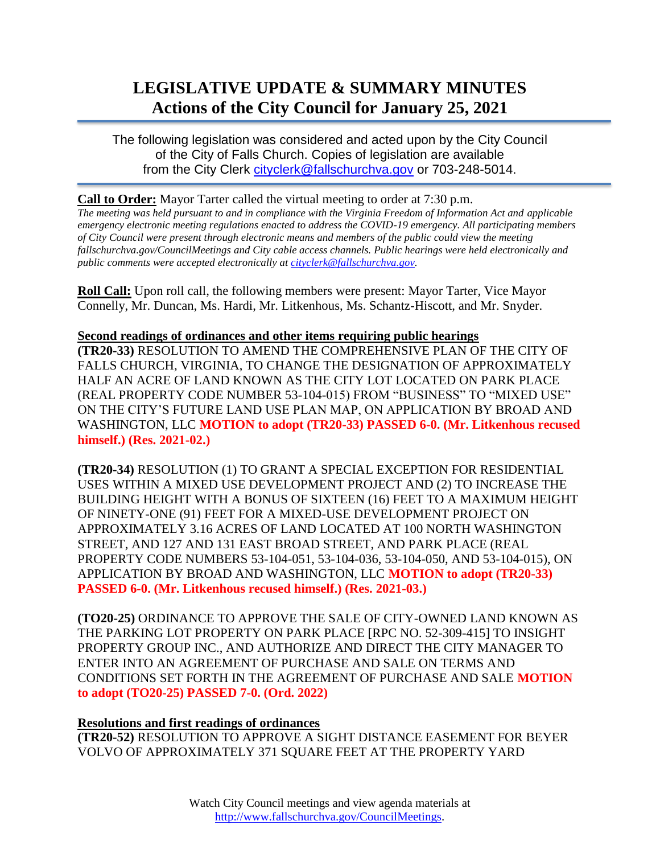# **LEGISLATIVE UPDATE & SUMMARY MINUTES Actions of the City Council for January 25, 2021**

The following legislation was considered and acted upon by the City Council of the City of Falls Church. Copies of legislation are available from the City Clerk [cityclerk@fallschurchva.gov](mailto:cityclerk@fallschurchva.gov) or 703-248-5014.

## **Call to Order:** Mayor Tarter called the virtual meeting to order at 7:30 p.m.

*The meeting was held pursuant to and in compliance with the Virginia Freedom of Information Act and applicable emergency electronic meeting regulations enacted to address the COVID-19 emergency. All participating members of City Council were present through electronic means and members of the public could view the meeting fallschurchva.gov/CouncilMeetings and City cable access channels. Public hearings were held electronically and public comments were accepted electronically a[t cityclerk@fallschurchva.gov.](mailto:cityclerk@fallschurchva.gov)*

**Roll Call:** Upon roll call, the following members were present: Mayor Tarter, Vice Mayor Connelly, Mr. Duncan, Ms. Hardi, Mr. Litkenhous, Ms. Schantz-Hiscott, and Mr. Snyder.

#### **Second readings of ordinances and other items requiring public hearings**

**(TR20-33)** RESOLUTION TO AMEND THE COMPREHENSIVE PLAN OF THE CITY OF FALLS CHURCH, VIRGINIA, TO CHANGE THE DESIGNATION OF APPROXIMATELY HALF AN ACRE OF LAND KNOWN AS THE CITY LOT LOCATED ON PARK PLACE (REAL PROPERTY CODE NUMBER 53-104-015) FROM "BUSINESS" TO "MIXED USE" ON THE CITY'S FUTURE LAND USE PLAN MAP, ON APPLICATION BY BROAD AND WASHINGTON, LLC **MOTION to adopt (TR20-33) PASSED 6-0. (Mr. Litkenhous recused himself.) (Res. 2021-02.)**

**(TR20-34)** RESOLUTION (1) TO GRANT A SPECIAL EXCEPTION FOR RESIDENTIAL USES WITHIN A MIXED USE DEVELOPMENT PROJECT AND (2) TO INCREASE THE BUILDING HEIGHT WITH A BONUS OF SIXTEEN (16) FEET TO A MAXIMUM HEIGHT OF NINETY-ONE (91) FEET FOR A MIXED-USE DEVELOPMENT PROJECT ON APPROXIMATELY 3.16 ACRES OF LAND LOCATED AT 100 NORTH WASHINGTON STREET, AND 127 AND 131 EAST BROAD STREET, AND PARK PLACE (REAL PROPERTY CODE NUMBERS 53-104-051, 53-104-036, 53-104-050, AND 53-104-015), ON APPLICATION BY BROAD AND WASHINGTON, LLC **MOTION to adopt (TR20-33) PASSED 6-0. (Mr. Litkenhous recused himself.) (Res. 2021-03.)**

**(TO20-25)** ORDINANCE TO APPROVE THE SALE OF CITY-OWNED LAND KNOWN AS THE PARKING LOT PROPERTY ON PARK PLACE [RPC NO. 52-309-415] TO INSIGHT PROPERTY GROUP INC., AND AUTHORIZE AND DIRECT THE CITY MANAGER TO ENTER INTO AN AGREEMENT OF PURCHASE AND SALE ON TERMS AND CONDITIONS SET FORTH IN THE AGREEMENT OF PURCHASE AND SALE **MOTION to adopt (TO20-25) PASSED 7-0. (Ord. 2022)**

#### **Resolutions and first readings of ordinances**

**(TR20-52)** RESOLUTION TO APPROVE A SIGHT DISTANCE EASEMENT FOR BEYER VOLVO OF APPROXIMATELY 371 SQUARE FEET AT THE PROPERTY YARD